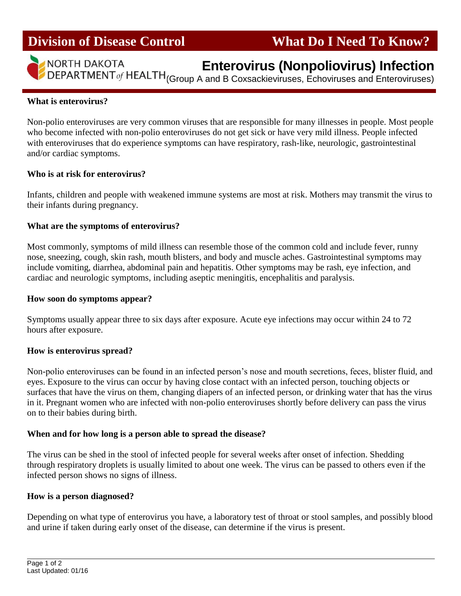## **Division of Disease Control What Do I Need To Know?**



i

# **Enterovirus (Nonpoliovirus) Infection**

DEPARTMENT of HEALTH (Group A and B Coxsackieviruses, Echoviruses and Enteroviruses)

#### **What is enterovirus?**

Non-polio enteroviruses are very common viruses that are responsible for many illnesses in people. Most people who become infected with non-polio enteroviruses do not get sick or have very mild illness. People infected with enteroviruses that do experience symptoms can have respiratory, rash-like, neurologic, gastrointestinal and/or cardiac symptoms.

#### **Who is at risk for enterovirus?**

Infants, children and people with weakened immune systems are most at risk. Mothers may transmit the virus to their infants during pregnancy.

## **What are the symptoms of enterovirus?**

Most commonly, symptoms of mild illness can resemble those of the common cold and include fever, runny nose, sneezing, cough, skin rash, mouth blisters, and body and muscle aches. Gastrointestinal symptoms may include vomiting, diarrhea, abdominal pain and hepatitis. Other symptoms may be rash, eye infection, and cardiac and neurologic symptoms, including aseptic meningitis, encephalitis and paralysis.

#### **How soon do symptoms appear?**

Symptoms usually appear three to six days after exposure. Acute eye infections may occur within 24 to 72 hours after exposure.

#### **How is enterovirus spread?**

Non-polio enteroviruses can be found in an infected person's nose and mouth secretions, feces, blister fluid, and eyes. Exposure to the virus can occur by having close contact with an infected person, touching objects or surfaces that have the virus on them, changing diapers of an infected person, or drinking water that has the virus in it. Pregnant women who are infected with non-polio enteroviruses shortly before delivery can pass the virus on to their babies during birth.

#### **When and for how long is a person able to spread the disease?**

The virus can be shed in the stool of infected people for several weeks after onset of infection. Shedding through respiratory droplets is usually limited to about one week. The virus can be passed to others even if the infected person shows no signs of illness.

#### **How is a person diagnosed?**

Depending on what type of enterovirus you have, a laboratory test of throat or stool samples, and possibly blood and urine if taken during early onset of the disease, can determine if the virus is present.